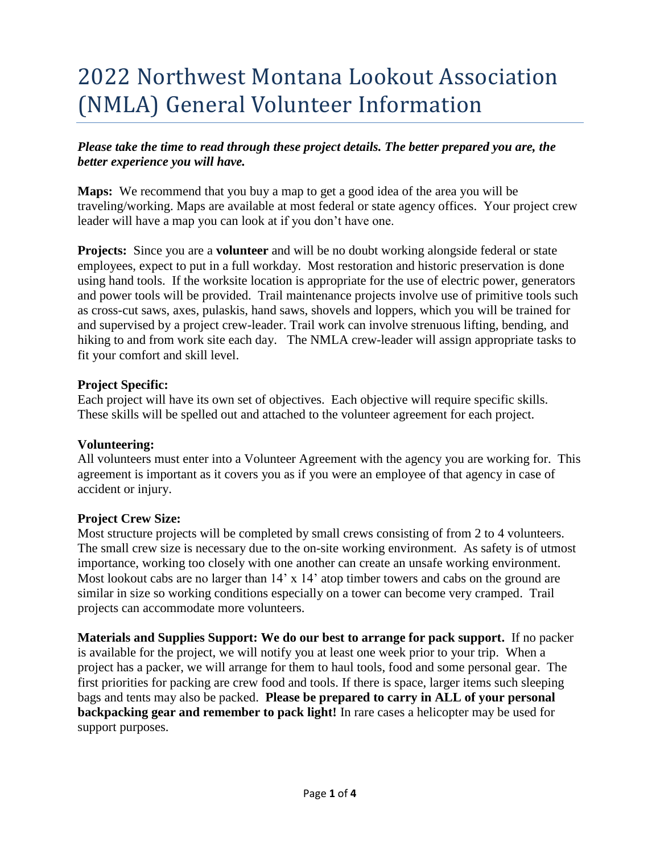# 2022 Northwest Montana Lookout Association (NMLA) General Volunteer Information

#### *Please take the time to read through these project details. The better prepared you are, the better experience you will have.*

**Maps:** We recommend that you buy a map to get a good idea of the area you will be traveling/working. Maps are available at most federal or state agency offices. Your project crew leader will have a map you can look at if you don't have one.

**Projects:** Since you are a **volunteer** and will be no doubt working alongside federal or state employees, expect to put in a full workday. Most restoration and historic preservation is done using hand tools. If the worksite location is appropriate for the use of electric power, generators and power tools will be provided. Trail maintenance projects involve use of primitive tools such as cross-cut saws, axes, pulaskis, hand saws, shovels and loppers, which you will be trained for and supervised by a project crew-leader. Trail work can involve strenuous lifting, bending, and hiking to and from work site each day. The NMLA crew-leader will assign appropriate tasks to fit your comfort and skill level.

#### **Project Specific:**

Each project will have its own set of objectives. Each objective will require specific skills. These skills will be spelled out and attached to the volunteer agreement for each project.

#### **Volunteering:**

All volunteers must enter into a Volunteer Agreement with the agency you are working for. This agreement is important as it covers you as if you were an employee of that agency in case of accident or injury.

#### **Project Crew Size:**

Most structure projects will be completed by small crews consisting of from 2 to 4 volunteers. The small crew size is necessary due to the on-site working environment. As safety is of utmost importance, working too closely with one another can create an unsafe working environment. Most lookout cabs are no larger than 14' x 14' atop timber towers and cabs on the ground are similar in size so working conditions especially on a tower can become very cramped. Trail projects can accommodate more volunteers.

**Materials and Supplies Support: We do our best to arrange for pack support.** If no packer is available for the project, we will notify you at least one week prior to your trip. When a project has a packer, we will arrange for them to haul tools, food and some personal gear. The first priorities for packing are crew food and tools. If there is space, larger items such sleeping bags and tents may also be packed. **Please be prepared to carry in ALL of your personal backpacking gear and remember to pack light!** In rare cases a helicopter may be used for support purposes.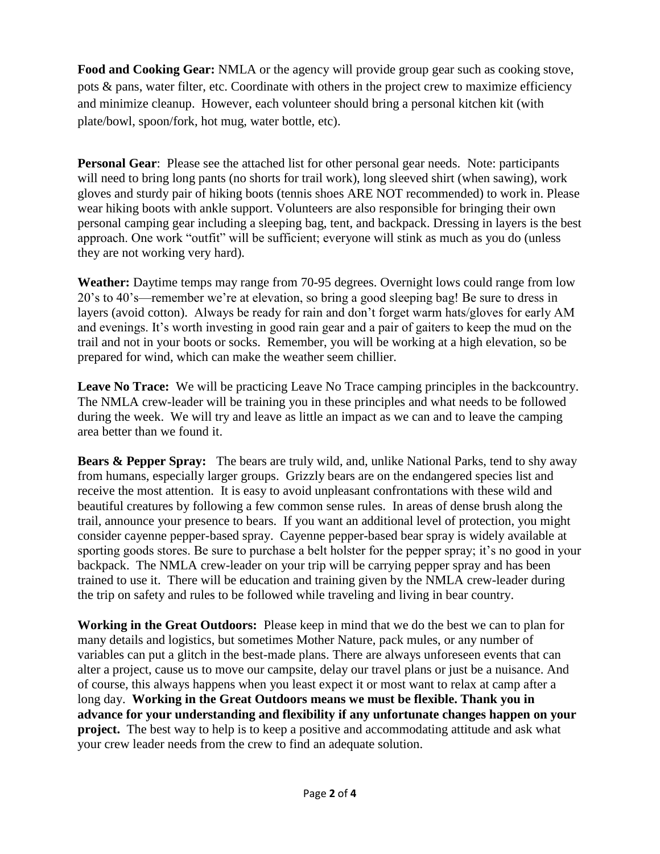**Food and Cooking Gear:** NMLA or the agency will provide group gear such as cooking stove, pots & pans, water filter, etc. Coordinate with others in the project crew to maximize efficiency and minimize cleanup. However, each volunteer should bring a personal kitchen kit (with plate/bowl, spoon/fork, hot mug, water bottle, etc).

**Personal Gear**: Please see the attached list for other personal gear needs. Note: participants will need to bring long pants (no shorts for trail work), long sleeved shirt (when sawing), work gloves and sturdy pair of hiking boots (tennis shoes ARE NOT recommended) to work in. Please wear hiking boots with ankle support. Volunteers are also responsible for bringing their own personal camping gear including a sleeping bag, tent, and backpack. Dressing in layers is the best approach. One work "outfit" will be sufficient; everyone will stink as much as you do (unless they are not working very hard).

**Weather:** Daytime temps may range from 70-95 degrees. Overnight lows could range from low 20's to 40's—remember we're at elevation, so bring a good sleeping bag! Be sure to dress in layers (avoid cotton). Always be ready for rain and don't forget warm hats/gloves for early AM and evenings. It's worth investing in good rain gear and a pair of gaiters to keep the mud on the trail and not in your boots or socks. Remember, you will be working at a high elevation, so be prepared for wind, which can make the weather seem chillier.

**Leave No Trace:** We will be practicing Leave No Trace camping principles in the backcountry. The NMLA crew-leader will be training you in these principles and what needs to be followed during the week. We will try and leave as little an impact as we can and to leave the camping area better than we found it.

**Bears & Pepper Spray:** The bears are truly wild, and, unlike National Parks, tend to shy away from humans, especially larger groups. Grizzly bears are on the endangered species list and receive the most attention. It is easy to avoid unpleasant confrontations with these wild and beautiful creatures by following a few common sense rules. In areas of dense brush along the trail, announce your presence to bears. If you want an additional level of protection, you might consider cayenne pepper-based spray. Cayenne pepper-based bear spray is widely available at sporting goods stores. Be sure to purchase a belt holster for the pepper spray; it's no good in your backpack. The NMLA crew-leader on your trip will be carrying pepper spray and has been trained to use it. There will be education and training given by the NMLA crew-leader during the trip on safety and rules to be followed while traveling and living in bear country.

**Working in the Great Outdoors:** Please keep in mind that we do the best we can to plan for many details and logistics, but sometimes Mother Nature, pack mules, or any number of variables can put a glitch in the best-made plans. There are always unforeseen events that can alter a project, cause us to move our campsite, delay our travel plans or just be a nuisance. And of course, this always happens when you least expect it or most want to relax at camp after a long day. **Working in the Great Outdoors means we must be flexible. Thank you in advance for your understanding and flexibility if any unfortunate changes happen on your project.** The best way to help is to keep a positive and accommodating attitude and ask what your crew leader needs from the crew to find an adequate solution.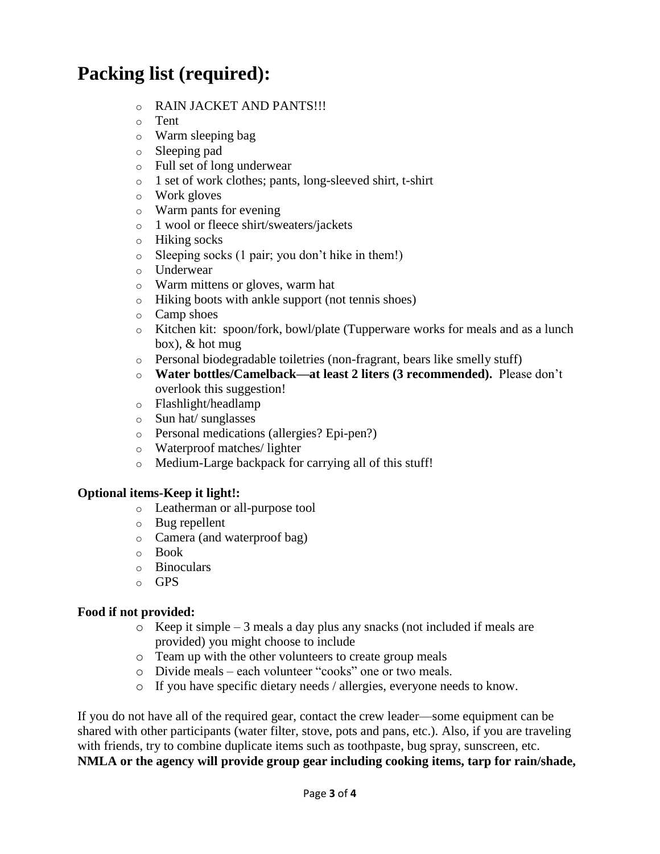## **Packing list (required):**

- o RAIN JACKET AND PANTS!!!
- o Tent
- o Warm sleeping bag
- o Sleeping pad
- o Full set of long underwear
- o 1 set of work clothes; pants, long-sleeved shirt, t-shirt
- o Work gloves
- o Warm pants for evening
- o 1 wool or fleece shirt/sweaters/jackets
- o Hiking socks
- o Sleeping socks (1 pair; you don't hike in them!)
- o Underwear
- o Warm mittens or gloves, warm hat
- o Hiking boots with ankle support (not tennis shoes)
- o Camp shoes
- o Kitchen kit: spoon/fork, bowl/plate (Tupperware works for meals and as a lunch box), & hot mug
- o Personal biodegradable toiletries (non-fragrant, bears like smelly stuff)
- o **Water bottles/Camelback—at least 2 liters (3 recommended).** Please don't overlook this suggestion!
- o Flashlight/headlamp
- o Sun hat/ sunglasses
- o Personal medications (allergies? Epi-pen?)
- o Waterproof matches/ lighter
- o Medium-Large backpack for carrying all of this stuff!

### **Optional items-Keep it light!:**

- o Leatherman or all-purpose tool
- o Bug repellent
- o Camera (and waterproof bag)
- o Book
- o Binoculars
- o GPS

#### **Food if not provided:**

- o Keep it simple 3 meals a day plus any snacks (not included if meals are provided) you might choose to include
- o Team up with the other volunteers to create group meals
- o Divide meals each volunteer "cooks" one or two meals.
- o If you have specific dietary needs / allergies, everyone needs to know.

If you do not have all of the required gear, contact the crew leader—some equipment can be shared with other participants (water filter, stove, pots and pans, etc.). Also, if you are traveling with friends, try to combine duplicate items such as toothpaste, bug spray, sunscreen, etc. **NMLA or the agency will provide group gear including cooking items, tarp for rain/shade,**